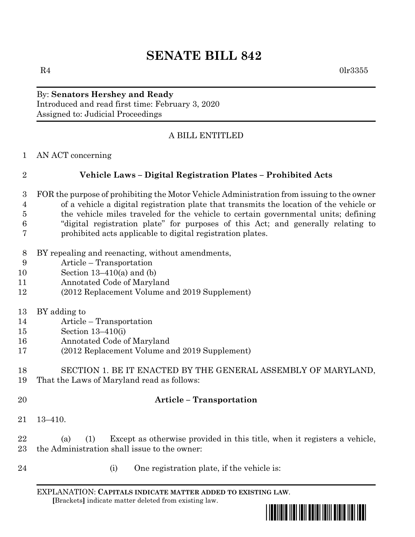# **SENATE BILL 842**

 $R4$  0lr3355

## By: **Senators Hershey and Ready** Introduced and read first time: February 3, 2020 Assigned to: Judicial Proceedings

## A BILL ENTITLED

AN ACT concerning

# **Vehicle Laws – Digital Registration Plates – Prohibited Acts**

- FOR the purpose of prohibiting the Motor Vehicle Administration from issuing to the owner of a vehicle a digital registration plate that transmits the location of the vehicle or the vehicle miles traveled for the vehicle to certain governmental units; defining "digital registration plate" for purposes of this Act; and generally relating to prohibited acts applicable to digital registration plates.
- BY repealing and reenacting, without amendments,
- Article Transportation
- Section 13–410(a) and (b)
- Annotated Code of Maryland
- (2012 Replacement Volume and 2019 Supplement)
- BY adding to
- Article Transportation
- Section 13–410(i)
- Annotated Code of Maryland
- (2012 Replacement Volume and 2019 Supplement)

#### SECTION 1. BE IT ENACTED BY THE GENERAL ASSEMBLY OF MARYLAND, That the Laws of Maryland read as follows:

#### **Article – Transportation**

13–410.

 (a) (1) Except as otherwise provided in this title, when it registers a vehicle, the Administration shall issue to the owner:

- 
- 24 (i) One registration plate, if the vehicle is:

EXPLANATION: **CAPITALS INDICATE MATTER ADDED TO EXISTING LAW**.  **[**Brackets**]** indicate matter deleted from existing law.